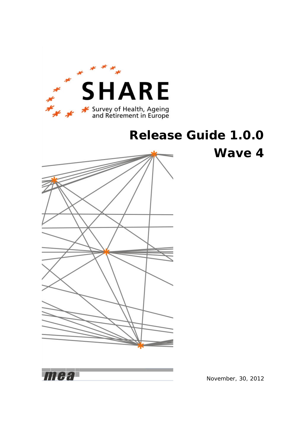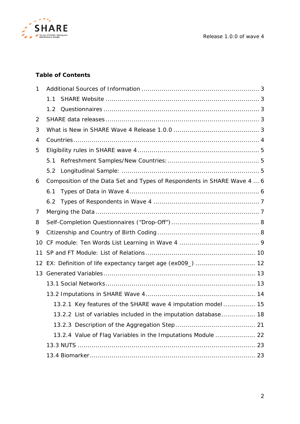

### **Table of Contents**

| 1              |     |                                                                         |  |
|----------------|-----|-------------------------------------------------------------------------|--|
|                | 1.1 |                                                                         |  |
|                | 1.2 |                                                                         |  |
| $\overline{2}$ |     |                                                                         |  |
| 3              |     |                                                                         |  |
| 4              |     |                                                                         |  |
| 5              |     |                                                                         |  |
|                | 5.1 |                                                                         |  |
|                | 5.2 |                                                                         |  |
| 6              |     | Composition of the Data Set and Types of Respondents in SHARE Wave 4  6 |  |
|                | 6.1 |                                                                         |  |
|                |     |                                                                         |  |
| 7              |     |                                                                         |  |
| 8              |     |                                                                         |  |
| 9              |     |                                                                         |  |
| 10             |     |                                                                         |  |
| 11             |     |                                                                         |  |
| 12             |     |                                                                         |  |
| 13             |     |                                                                         |  |
|                |     |                                                                         |  |
|                |     |                                                                         |  |
|                |     | 13.2.1 Key features of the SHARE wave 4 imputation model 15             |  |
|                |     | 13.2.2 List of variables included in the imputation database 18         |  |
|                |     |                                                                         |  |
|                |     | 13.2.4 Value of Flag Variables in the Imputations Module  22            |  |
|                |     |                                                                         |  |
|                |     |                                                                         |  |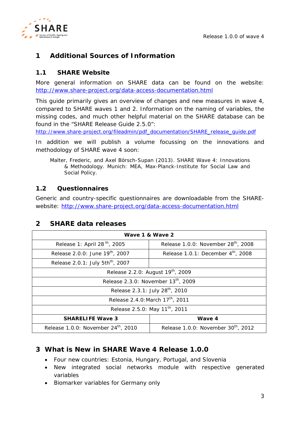

# <span id="page-2-0"></span>**1 Additional Sources of Information**

### <span id="page-2-1"></span>**1.1 SHARE Website**

More general information on SHARE data can be found on the website: <http://www.share-project.org/data-access-documentation.html>

This guide primarily gives an overview of changes and new measures in wave 4, compared to SHARE waves 1 and 2. Information on the naming of variables, the missing codes, and much other helpful material on the SHARE database can be found in the "SHARE Release Guide 2.5.0":

[http://www.share-project.org/fileadmin/pdf\\_documentation/SHARE\\_release\\_guide.pdf](http://www.share-project.org/fileadmin/pdf_documentation/SHARE_release_guide.pdf)

In addition we will publish a volume focussing on the innovations and methodology of SHARE wave 4 soon:

Malter, Frederic, and Axel Börsch-Supan (2013). *SHARE Wave 4: Innovations & Methodology.* Munich: MEA, Max-Planck-Institute for Social Law and Social Policy.

#### <span id="page-2-2"></span>**1.2 Questionnaires**

Generic and country-specific questionnaires are downloadable from the SHAREwebsite: <http://www.share-project.org/data-access-documentation.html>

# <span id="page-2-3"></span>**2 SHARE data releases**

| Wave 1 & Wave 2                                                                                    |                                                |  |
|----------------------------------------------------------------------------------------------------|------------------------------------------------|--|
| Release 1: April 28 <sup>th</sup> , 2005<br>Release 1.0.0: November 28 <sup>th</sup> , 2008        |                                                |  |
| Release 2.0.0: June 19 <sup>th</sup> , 2007                                                        | Release 1.0.1: December $4^{\text{th}}$ , 2008 |  |
| Release 2.0.1: July 5th <sup>th</sup> , 2007                                                       |                                                |  |
| Release 2.2.0: August 19 <sup>th</sup> , 2009                                                      |                                                |  |
| Release 2.3.0: November 13 <sup>th</sup> , 2009                                                    |                                                |  |
| Release 2.3.1: July 28 <sup>th</sup> , 2010                                                        |                                                |  |
| Release 2.4.0: March 17 <sup>th</sup> , 2011                                                       |                                                |  |
| Release 2.5.0: May 11 <sup>th</sup> , 2011                                                         |                                                |  |
| Wave 4<br><b>SHARELIFE Wave 3</b>                                                                  |                                                |  |
| Release 1.0.0: November 24 <sup>th</sup> , 2010<br>Release 1.0.0: November 30 <sup>th</sup> , 2012 |                                                |  |

# <span id="page-2-4"></span>**3 What is New in SHARE Wave 4 Release 1.0.0**

- Four new countries: Estonia, Hungary, Portugal, and Slovenia
- New integrated social networks module with respective generated variables
- Biomarker variables for Germany only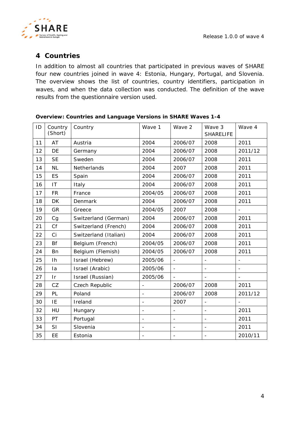

# <span id="page-3-0"></span>**Countries**

In addition to almost all countries that participated in previous waves of SHARE four new countries joined in wave 4: Estonia, Hungary, Portugal, and Slovenia. The overview shows the list of countries, country identifiers, participation in waves, and when the data collection was conducted. The definition of the wave results from the questionnaire version used.

| ID | Country<br>(Short)     | Country               | Wave 1                   | Wave 2                   | Wave 3<br><b>SHARELIFE</b> | Wave 4                   |
|----|------------------------|-----------------------|--------------------------|--------------------------|----------------------------|--------------------------|
| 11 | <b>AT</b>              | Austria               | 2004                     | 2006/07                  | 2008                       | 2011                     |
| 12 | DE                     | Germany               | 2004                     | 2006/07                  | 2008                       | 2011/12                  |
| 13 | <b>SE</b>              | Sweden                | 2004                     | 2006/07                  | 2008                       | 2011                     |
| 14 | <b>NL</b>              | Netherlands           | 2004                     | 2007                     | 2008                       | 2011                     |
| 15 | <b>ES</b>              | Spain                 | 2004                     | 2006/07                  | 2008                       | 2011                     |
| 16 | $\mathsf{I}\mathsf{T}$ | Italy                 | 2004                     | 2006/07                  | 2008                       | 2011                     |
| 17 | <b>FR</b>              | France                | 2004/05                  | 2006/07                  | 2008                       | 2011                     |
| 18 | <b>DK</b>              | Denmark               | 2004                     | 2006/07                  | 2008                       | 2011                     |
| 19 | GR                     | Greece                | 2004/05                  | 2007                     | 2008                       |                          |
| 20 | Cg                     | Switzerland (German)  | 2004                     | 2006/07                  | 2008                       | 2011                     |
| 21 | Cf                     | Switzerland (French)  | 2004                     | 2006/07                  | 2008                       | 2011                     |
| 22 | Ci                     | Switzerland (Italian) | 2004                     | 2006/07                  | 2008                       | 2011                     |
| 23 | <b>Bf</b>              | Belgium (French)      | 2004/05                  | 2006/07                  | 2008                       | 2011                     |
| 24 | Bn                     | Belgium (Flemish)     | 2004/05                  | 2006/07                  | 2008                       | 2011                     |
| 25 | Ih                     | Israel (Hebrew)       | 2005/06                  | $\frac{1}{2}$            | $\overline{\phantom{a}}$   | $\blacksquare$           |
| 26 | la                     | Israel (Arabic)       | 2005/06                  | $\equiv$                 | $\overline{\phantom{0}}$   | $\overline{\phantom{a}}$ |
| 27 | $\mathsf{I}$ r         | Israel (Russian)      | 2005/06                  |                          |                            | $\overline{\phantom{a}}$ |
| 28 | CZ                     | Czech Republic        | $\overline{\phantom{a}}$ | 2006/07                  | 2008                       | 2011                     |
| 29 | PL                     | Poland                | $\overline{\phantom{0}}$ | 2006/07                  | 2008                       | 2011/12                  |
| 30 | IE                     | Ireland               | $\overline{\phantom{a}}$ | 2007                     | $\overline{\phantom{0}}$   |                          |
| 32 | HU                     | Hungary               | $\overline{\phantom{a}}$ | ÷,                       | $\overline{\phantom{a}}$   | 2011                     |
| 33 | PT                     | Portugal              | $\overline{\phantom{a}}$ | $\overline{\phantom{0}}$ | $\overline{\phantom{a}}$   | 2011                     |
| 34 | SI                     | Slovenia              | $\overline{\phantom{a}}$ | $\overline{\phantom{0}}$ | $\overline{\phantom{a}}$   | 2011                     |
| 35 | EE                     | Estonia               |                          | ÷,                       | $\overline{\phantom{0}}$   | 2010/11                  |

#### **Overview: Countries and Language Versions in SHARE Waves 1-4**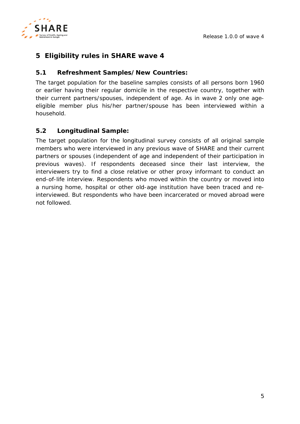

# <span id="page-4-0"></span>**5 Eligibility rules in SHARE wave 4**

### <span id="page-4-1"></span>**5.1 Refreshment Samples/New Countries:**

The target population for the baseline samples consists of *all persons born 1960 or earlier* having their regular domicile in the respective country, together with their current partners/spouses, independent of age. As in wave 2 only one ageeligible member *plus* his/her partner/spouse has been interviewed within a household.

### <span id="page-4-2"></span>**5.2 Longitudinal Sample:**

The target population for the longitudinal survey consists of all original sample members who were interviewed in any previous wave of SHARE and their current partners or spouses (independent of age and independent of their participation in previous waves). If respondents deceased since their last interview, the interviewers try to find a close relative or other proxy informant to conduct an end-of-life interview. Respondents who moved within the country or moved into a nursing home, hospital or other old-age institution have been traced and reinterviewed. But respondents who have been incarcerated or moved abroad were not followed.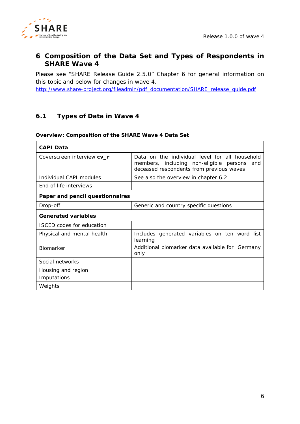

### <span id="page-5-0"></span>**6 Composition of the Data Set and Types of Respondents in SHARE Wave 4**

Please see "SHARE Release Guide 2.5.0" Chapter 6 for general information on this topic and below for changes in wave 4.

[http://www.share-project.org/fileadmin/pdf\\_documentation/SHARE\\_release\\_guide.pdf](http://www.share-project.org/fileadmin/pdf_documentation/SHARE_release_guide.pdf)

### <span id="page-5-1"></span>**6.1 Types of Data in Wave 4**

#### **Overview: Composition of the SHARE Wave 4 Data Set**

| CAPI Data                        |                                                                                                                                              |
|----------------------------------|----------------------------------------------------------------------------------------------------------------------------------------------|
| Coverscreen interview cv_r       | Data on the individual level for all household<br>members, including non-eligible persons<br>and<br>deceased respondents from previous waves |
| Individual CAPI modules          | See also the overview in chapter 6.2                                                                                                         |
| End of life interviews           |                                                                                                                                              |
| Paper and pencil questionnaires  |                                                                                                                                              |
| Drop-off                         | Generic and country specific questions                                                                                                       |
| <b>Generated variables</b>       |                                                                                                                                              |
| <b>ISCED</b> codes for education |                                                                                                                                              |
| Physical and mental health       | Includes generated variables on ten word list<br>learning                                                                                    |
| <b>Biomarker</b>                 | Additional biomarker data available for Germany<br>only                                                                                      |
| Social networks                  |                                                                                                                                              |
| Housing and region               |                                                                                                                                              |
| Imputations                      |                                                                                                                                              |
| Weights                          |                                                                                                                                              |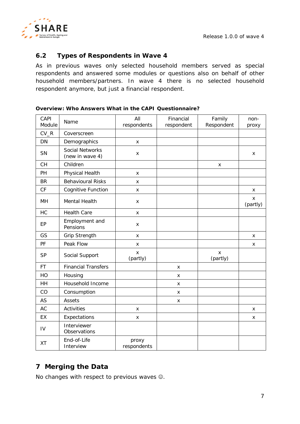

### <span id="page-6-0"></span>**6.2 Types of Respondents in Wave 4**

As in previous waves only selected household members served as special respondents and answered some modules or questions also on behalf of other household members/partners. In wave 4 there is no selected household respondent anymore, but just a financial respondent.

| CAPI<br>Module | Name                                      | All<br>respondents   | Financial<br>respondent | Family<br>Respondent | non-<br>proxy |
|----------------|-------------------------------------------|----------------------|-------------------------|----------------------|---------------|
| $CV_R$         | Coverscreen                               |                      |                         |                      |               |
| DN             | Demographics                              | x                    |                         |                      |               |
| SN             | <b>Social Networks</b><br>(new in wave 4) | x                    |                         |                      | X             |
| <b>CH</b>      | Children                                  |                      |                         | x                    |               |
| PH             | Physical Health                           | x                    |                         |                      |               |
| <b>BR</b>      | <b>Behavioural Risks</b>                  | x                    |                         |                      |               |
| CF             | Cognitive Function                        | X                    |                         |                      | X             |
| MH             | Mental Health                             | x                    |                         |                      | X<br>(partly) |
| HC             | <b>Health Care</b>                        | x                    |                         |                      |               |
| EP             | Employment and<br>Pensions                | x                    |                         |                      |               |
| GS             | <b>Grip Strength</b>                      | X                    |                         |                      | X             |
| PF             | Peak Flow                                 | X                    |                         |                      | X             |
| <b>SP</b>      | Social Support                            | X<br>(partly)        |                         | X<br>(partly)        |               |
| <b>FT</b>      | <b>Financial Transfers</b>                |                      | X                       |                      |               |
| HO             | Housing                                   |                      | X                       |                      |               |
| <b>HH</b>      | Household Income                          |                      | х                       |                      |               |
| CO             | Consumption                               |                      | X                       |                      |               |
| <b>AS</b>      | <b>Assets</b>                             |                      | X                       |                      |               |
| <b>AC</b>      | <b>Activities</b>                         | x                    |                         |                      | X             |
| EX             | Expectations                              | x                    |                         |                      | X             |
| IV             | Interviewer<br>Observations               |                      |                         |                      |               |
| <b>XT</b>      | End-of-Life<br>Interview                  | proxy<br>respondents |                         |                      |               |

#### **Overview: Who Answers What in the CAPI Questionnaire?**

# <span id="page-6-1"></span>**7 Merging the Data**

No changes with respect to previous waves  $\odot$ .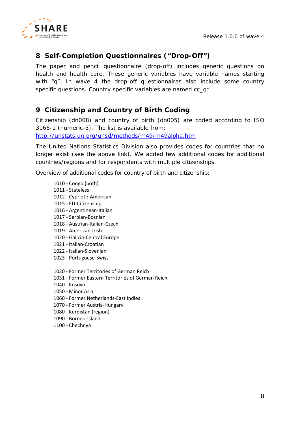*Release 1.0.0 of wave 4*



# <span id="page-7-0"></span>**Self-Completion Questionnaires ("Drop-Off")**

The paper and pencil questionnaire (drop-off) includes generic questions on health and health care. These generic variables have variable names starting with "q". In wave 4 the drop-off questionnaires also include some country specific questions. Country specific variables are named cc\_q<sup>\*</sup>.

# <span id="page-7-1"></span>**Citizenship and Country of Birth Coding**

Citizenship (*dn008*) and country of birth *(dn005)* are coded according to ISO 3166-1 (numeric-3). The list is available from: <http://unstats.un.org/unsd/methods/m49/m49alpha.htm>

The United Nations Statistics Division also provides codes for countries that no longer exist (see the above link). We added few additional codes for additional countries/regions and for respondents with multiple citizenships.

Overview of additional codes for country of birth and citizenship:

- Congo (both) - Stateless - Cypriote-American - EU-Citizenship - Argentinean-Italian - Serbian-Bosnian - Austrian-Italian-Czech - American-Irish - Galicia-Central Europe - Italian-Croatian - Italian-Slovenian - Portuguese-Swiss - Former Territories of German Reich - Former Eastern Territories of German Reich - Kosovo - Minor Asia - Former Netherlands-East Indies - Former Austria-Hungary - Kurdistan (region)
- Borneo-Island
- Chechnya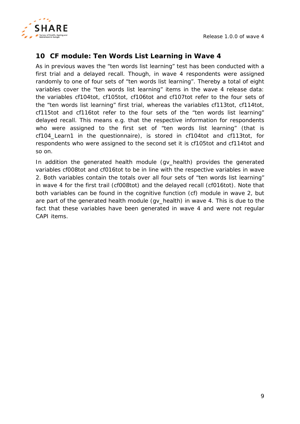

# <span id="page-8-0"></span>**10 CF module: Ten Words List Learning in Wave 4**

As in previous waves the "ten words list learning" test has been conducted with a first trial and a delayed recall. Though, in wave 4 respondents were assigned randomly to one of four sets of "ten words list learning". Thereby a total of eight variables cover the "ten words list learning" items in the wave 4 release data: the variables *cf104tot*, *cf105tot*, *cf106tot* and *cf107tot* refer to the four sets of the "ten words list learning" first trial, whereas the variables *cf113tot*, *cf114tot*, *cf115tot* and *cf116tot* refer to the four sets of the "ten words list learning" delayed recall. This means e.g. that the respective information for respondents who were assigned to the first set of "ten words list learning" (that is *cf104\_Learn1* in the questionnaire), is stored in *cf104tot* and *cf113tot,* for respondents who were assigned to the second set it is *cf105tot* and *cf114tot* and so on.

In addition the generated health module (gv\_health) provides the generated variables *cf008tot* and *cf016tot* to be in line with the respective variables in wave 2. Both variables contain the totals over all four sets of "ten words list learning" in wave 4 for the first trail (*cf008tot*) and the delayed recall (*cf016tot*). Note that both variables can be found in the cognitive function (cf) module in wave 2, but are part of the generated health module (gv\_health) in wave 4. This is due to the fact that these variables have been generated in wave 4 and were not regular CAPI items.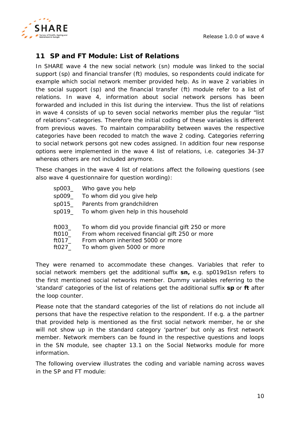

# <span id="page-9-0"></span>**11 SP and FT Module: List of Relations**

In SHARE wave 4 the new social network (sn) module was linked to the social support (sp) and financial transfer (ft) modules, so respondents could indicate for example which social network member provided help. As in wave 2 variables in the social support (sp) and the financial transfer (ft) module refer to a list of relations. In wave 4, information about social network persons has been forwarded and included in this list during the interview. Thus the list of relations in wave 4 consists of up to seven social networks member plus the regular "list of relations"-categories. Therefore the initial coding of these variables is different from previous waves. To maintain comparability between waves the respective categories have been recoded to match the wave 2 coding. Categories referring to social network persons got new codes assigned. In addition four new response options were implemented in the wave 4 list of relations, i.e. categories 34-37 whereas others are not included anymore.

These changes in the wave 4 list of relations affect the following questions (see also wave 4 questionnaire for question wording):

- sp003\_ Who gave you help
- sp009\_ To whom did you give help
- sp015\_ Parents from grandchildren
- sp019\_ To whom given help in this household
- ft003\_ To whom did you provide financial gift 250 or more
- ft010\_ From whom received financial gift 250 or more
- ft017 From whom inherited 5000 or more
- ft027\_ To whom given 5000 or more

They were renamed to accommodate these changes. Variables that refer to social network members get the additional suffix **sn,** e.g. sp019d1sn refers to the first mentioned social networks member. Dummy variables referring to the 'standard' categories of the list of relations get the additional suffix **sp** or **ft** after the loop counter.

Please note that the standard categories of the list of relations do not include all persons that have the respective relation to the respondent. If e.g. a the partner that provided help is mentioned as the first social network member, he or she will not show up in the standard category 'partner' but only as first network member. Network members can be found in the respective questions and loops in the SN module, see chapter [13.1](#page-12-1) on the Social Networks module for more information.

The following overview illustrates the coding and variable naming across waves in the SP and FT module: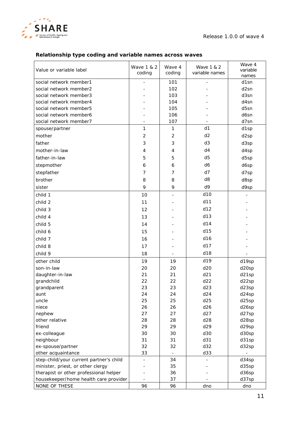

### **Relationship type coding and variable names across waves**

| Value or variable label                 | Wave 1 & 2<br>coding     | Wave 4<br>coding | Wave 1 & 2<br>variable names | Wave 4<br>variable<br>names |
|-----------------------------------------|--------------------------|------------------|------------------------------|-----------------------------|
| social network member1                  |                          | 101              |                              | d1sn                        |
| social network member2                  |                          | 102              |                              | d <sub>2sn</sub>            |
| social network member3                  |                          | 103              |                              | d3sn                        |
| social network member4                  |                          | 104              |                              | d4sn                        |
| social network member5                  |                          | 105              |                              | d5sn                        |
| social network member6                  |                          | 106              |                              | d6sn                        |
| social network member7                  |                          | 107              |                              | d7sn                        |
| spouse/partner                          | 1                        | $\mathbf{1}$     | d1                           | d1sp                        |
| mother                                  | $\overline{2}$           | $\overline{2}$   | d2                           | d <sub>2sp</sub>            |
| father                                  | 3                        | 3                | d <sub>3</sub>               | d3sp                        |
| mother-in-law                           | 4                        | $\overline{4}$   | d4                           | d4sp                        |
| father-in-law                           | 5                        | 5                | d <sub>5</sub>               | d5sp                        |
| stepmother                              | 6                        | 6                | d6                           | d6sp                        |
| stepfather                              | 7                        | 7                | d7                           | d7sp                        |
| brother                                 | 8                        | 8                | d <sub>8</sub>               | d8sp                        |
| sister                                  | 9                        | 9                | d9                           | d9sp                        |
|                                         |                          |                  | d10                          |                             |
| child 1                                 | 10                       |                  |                              |                             |
| child 2                                 | 11                       |                  | d11                          |                             |
| child 3                                 | 12                       |                  | d12                          |                             |
| child 4                                 | 13                       |                  | d13                          |                             |
| child 5                                 | 14                       |                  | d14                          |                             |
| child 6                                 | 15                       |                  | d15                          |                             |
| child 7                                 | 16                       |                  | d16                          |                             |
| child 8                                 | 17                       |                  | d17                          |                             |
| child 9                                 | 18                       |                  | d18                          |                             |
| other child                             | 19                       | 19               | d19                          | d19sp                       |
| son-in-law                              | 20                       | 20               | d20                          | d20sp                       |
| daughter-in-law                         | 21                       | 21               | d21                          | d21sp                       |
| grandchild                              | 22                       | 22               | d22                          | d22sp                       |
| grandparent                             | 23                       | 23               | d23                          | d23sp                       |
| aunt                                    | 24                       | 24               | d24                          | d24sp                       |
| uncle                                   | 25                       | 25               | d25                          | d25sp                       |
| niece                                   | 26                       | 26               | d26                          | d26sp                       |
| nephew                                  | 27                       | 27               | d27                          | d27sp                       |
| other relative                          | 28                       | 28               | d28                          | d28sp                       |
| friend                                  | 29                       | 29               | d29                          | d29sp                       |
| ex-colleague                            | 30                       | 30               | d30                          | d30sp                       |
| neighbour                               | 31                       | 31               | d31                          | d31sp                       |
| ex-spouse/partner                       | 32                       | 32               | d32                          | d32sp                       |
| other acquaintance                      | 33                       |                  | d33                          |                             |
| step-child/your current partner's child | $\overline{\phantom{a}}$ | 34               |                              | d34sp                       |
| minister, priest, or other clergy       |                          | 35               |                              | d35sp                       |
| therapist or other professional helper  |                          | 36               |                              | d36sp                       |
| housekeeper/home health care provider   |                          | 37               |                              | d37sp                       |
| NONE OF THESE                           | 96                       | 96               | dno                          | dno                         |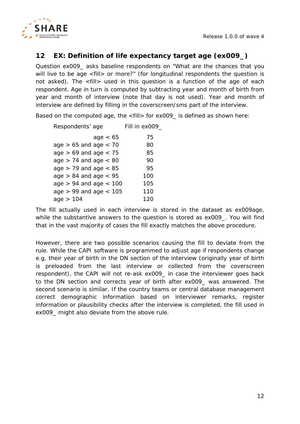

# <span id="page-11-0"></span>**12 EX: Definition of life expectancy target age (ex009\_)**

Question ex009\_ asks baseline respondents on "What are the chances that you will live to be age <fill> or more?" (for longitudinal respondents the question is not asked). The <fill> used in this question is a function of the age of each respondent. Age in turn is computed by subtracting year and month of birth from year and month of interview (note that day is not used). Year and month of interview are defined by filling in the coverscreen/sms part of the interview.

Based on the computed age, the <fill> for ex009\_ is defined as shown here:

| Respondents' age           | Fill in ex009 |
|----------------------------|---------------|
| age $< 65$                 | 75            |
| age $> 65$ and age $< 70$  | 80            |
| age $> 69$ and age $< 75$  | 85            |
| age $> 74$ and age $< 80$  | 90            |
| age $> 79$ and age $< 85$  | 95            |
| age $> 84$ and age $< 95$  | 100           |
| age $> 94$ and age $< 100$ | 105           |
| age $> 99$ and age $< 105$ | 110           |
| age $> 104$                | 120           |

The fill actually used in each interview is stored in the dataset as *ex009age*, while the substantive answers to the question is stored as *ex009\_*. You will find that in the vast majority of cases the fill exactly matches the above procedure.

However, there are two possible scenarios causing the fill to deviate from the rule. While the CAPI software is programmed to adjust age if respondents change e.g. their year of birth in the DN section of the interview (originally year of birth is preloaded from the last interview or collected from the coverscreen respondent), the CAPI will not re-ask ex009\_ in case the interviewer goes back to the DN section and corrects year of birth after ex009\_ was answered. The second scenario is similar. If the country teams or central database management correct demographic information based on interviewer remarks, register information or plausibility checks after the interview is completed, the fill used in ex009\_ might also deviate from the above rule.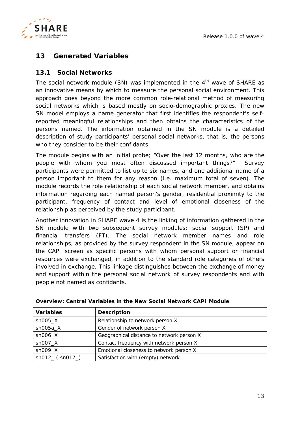

# <span id="page-12-0"></span>**13 Generated Variables**

#### <span id="page-12-1"></span>**13.1 Social Networks**

The social network module (SN) was implemented in the  $4<sup>th</sup>$  wave of SHARE as an innovative means by which to measure the personal social environment. This approach goes beyond the more common role-relational method of measuring social networks which is based mostly on socio-demographic proxies. The new SN model employs a name generator that first identifies the respondent's selfreported meaningful relationships and then obtains the characteristics of the persons named. The information obtained in the SN module is a detailed description of study participants' personal social networks, that is, the persons who they consider to be their confidants.

The module begins with an initial probe; "Over the last 12 months, who are the people with whom you most often discussed important things?" Survey participants were permitted to list up to six names, and one additional name of a person important to them for any reason (i.e. maximum total of seven). The module records the role relationship of each social network member, and obtains information regarding each named person's gender, residential proximity to the participant, frequency of contact and level of emotional closeness of the relationship as perceived by the study participant.

Another innovation in SHARE wave 4 is the linking of information gathered in the SN module with two subsequent survey modules: social support (SP) and financial transfers (FT). The social network member names and role relationships, as provided by the survey respondent in the SN module, appear on the CAPI screen as specific persons with whom personal support or financial resources were exchanged, in addition to the standard role categories of others involved in exchange. This linkage distinguishes between the exchange of money and support within the personal social network of survey respondents and with people not named as confidants.

| <b>Variables</b>                   | <b>Description</b>                        |
|------------------------------------|-------------------------------------------|
| $sn005$ _X                         | Relationship to network person X          |
| $sn005a$ <sub><math>X</math></sub> | Gender of network person X                |
| $sn006$ $X$                        | Geographical distance to network person X |
| $sn007_X$                          | Contact frequency with network person X   |
| $sn009$ $X$                        | Emotional closeness to network person X   |
| sn012 (sn017)                      | Satisfaction with (empty) network         |

| Overview: Central Variables in the New Social Network CAPI Module |  |  |  |  |  |  |
|-------------------------------------------------------------------|--|--|--|--|--|--|
|-------------------------------------------------------------------|--|--|--|--|--|--|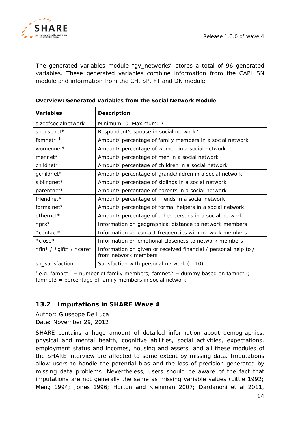

The generated variables module "gv\_networks" stores a total of 96 generated variables. These generated variables combine information from the CAPI SN module and information from the CH, SP, FT and DN module.

| <b>Variables</b>        | <b>Description</b>                                                                      |
|-------------------------|-----------------------------------------------------------------------------------------|
| sizeofsocialnetwork     | Minimum: 0 Maximum: 7                                                                   |
| spousenet*              | Respondent's spouse in social network?                                                  |
| famnet $*$ <sup>1</sup> | Amount/ percentage of family members in a social network                                |
| womennet*               | Amount/ percentage of women in a social network                                         |
| $member*$               | Amount/ percentage of men in a social network                                           |
| children                | Amount/ percentage of children in a social network                                      |
| gchildnet*              | Amount/ percentage of grandchildren in a social network                                 |
| siblingnet*             | Amount/ percentage of siblings in a social network                                      |
| parentnet*              | Amount/ percentage of parents in a social network                                       |
| friendnet*              | Amount/ percentage of friends in a social network                                       |
| formalnet*              | Amount/ percentage of formal helpers in a social network                                |
| othernet*               | Amount/ percentage of other persons in a social network                                 |
| $*prx*$                 | Information on geographical distance to network members                                 |
| *contact*               | Information on contact frequencies with network members                                 |
| $*close*$               | Information on emotional closeness to network members                                   |
| *fin* / *gift* / *care* | Information on given or received financial / personal help to /<br>from network members |
| sn_satisfaction         | Satisfaction with personal network (1-10)                                               |

#### **Overview: Generated Variables from the Social Network Module**

<sup>1</sup> e.g. *famnet* 1 = number of family members; *famnet* 2 = dummy based on *famnet* 1; *famnet3* = percentage of family members in social network.

# <span id="page-13-0"></span>**13.2 Imputations in SHARE Wave 4**

*Author: Giuseppe De Luca Date: November 29, 2012*

SHARE contains a huge amount of detailed information about demographics, physical and mental health, cognitive abilities, social activities, expectations, employment status and incomes, housing and assets, and all these modules of the SHARE interview are affected to some extent by missing data. Imputations allow users to handle the potential bias and the loss of precision generated by missing data problems. Nevertheless, users should be aware of the fact that imputations are not generally the same as missing variable values (Little 1992; Meng 1994; Jones 1996; Horton and Kleinman 2007; Dardanoni et al 2011,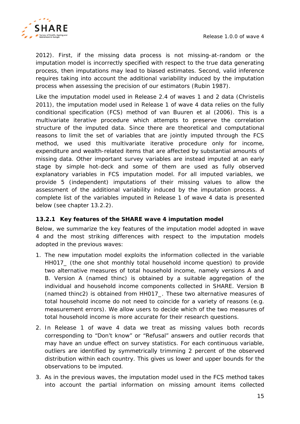

2012). First, if the missing data process is not missing-at-random or the imputation model is incorrectly specified with respect to the true data generating process, then imputations may lead to biased estimates. Second, valid inference requires taking into account the additional variability induced by the imputation process when assessing the precision of our estimators (Rubin 1987).

Like the imputation model used in Release 2.4 of waves 1 and 2 data (Christelis 2011), the imputation model used in Release 1 of wave 4 data relies on the fully conditional specification (FCS) method of van Buuren et al (2006). This is a multivariate iterative procedure which attempts to preserve the correlation structure of the imputed data. Since there are theoretical and computational reasons to limit the set of variables that are jointly imputed through the FCS method, we used this multivariate iterative procedure only for income, expenditure and wealth-related items that are affected by substantial amounts of missing data. Other important survey variables are instead imputed at an early stage by simple hot-deck and some of them are used as fully observed explanatory variables in FCS imputation model. For all imputed variables, we provide 5 (independent) imputations of their missing values to allow the assessment of the additional variability induced by the imputation process. A complete list of the variables imputed in Release 1 of wave 4 data is presented below (see chapter [13.2.2\)](#page-17-0).

#### <span id="page-14-0"></span>**13.2.1 Key features of the SHARE wave 4 imputation model**

Below, we summarize the key features of the imputation model adopted in wave 4 and the most striking differences with respect to the imputation models adopted in the previous waves:

- 1. The new imputation model exploits the information collected in the variable HH017\_ (the one shot monthly total household income question) to provide two alternative measures of total household income, namely versions A and B. Version A (named *thinc*) is obtained by a suitable aggregation of the individual and household income components collected in SHARE. Version B (named *thinc2*) is obtained from HH017\_. These two alternative measures of total household income do not need to coincide for a variety of reasons (e.g. measurement errors). We allow users to decide which of the two measures of total household income is more accurate for their research questions.
- 2. In Release 1 of wave 4 data we treat as missing values both records corresponding to "Don't know" or "Refusal" answers and outlier records that may have an undue effect on survey statistics. For each continuous variable, outliers are identified by symmetrically trimming 2 percent of the observed distribution within each country. This gives us lower and upper bounds for the observations to be imputed.
- 3. As in the previous waves, the imputation model used in the FCS method takes into account the partial information on missing amount items collected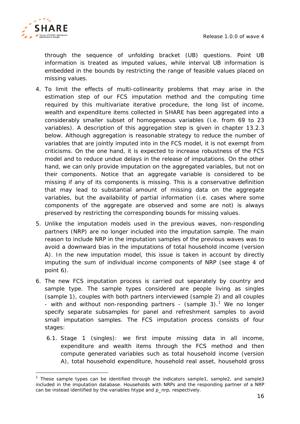

-

through the sequence of unfolding bracket (UB) questions. Point UB information is treated as imputed values, while interval UB information is embedded in the bounds by restricting the range of feasible values placed on missing values.

- 4. To limit the effects of multi-collinearity problems that may arise in the estimation step of our FCS imputation method and the computing time required by this multivariate iterative procedure, the long list of income, wealth and expenditure items collected in SHARE has been aggregated into a considerably smaller subset of homogeneous variables (i.e. from 69 to 23 variables). A description of this aggregation step is given in chapter [13.2.3](#page-20-0) below. Although aggregation is reasonable strategy to reduce the number of variables that are jointly imputed into in the FCS model, it is not exempt from criticisms. On the one hand, it is expected to increase robustness of the FCS model and to reduce undue delays in the release of imputations. On the other hand, we can only provide imputation on the aggregated variables, but not on their components. Notice that an aggregate variable is considered to be missing if any of its components is missing. This is a conservative definition that may lead to substantial amount of missing data on the aggregate variables, but the availability of partial information (i.e. cases where some components of the aggregate are observed and some are not) is always preserved by restricting the corresponding bounds for missing values.
- 5. Unlike the imputation models used in the previous waves, non-responding partners (NRP) are no longer included into the imputation sample. The main reason to include NRP in the imputation samples of the previous waves was to avoid a downward bias in the imputations of total household income (version A). In the new imputation model, this issue is taken in account by directly imputing the sum of individual income components of NRP (see stage 4 of point 6).
- 6. The new FCS imputation process is carried out separately by country and sample type. The sample types considered are people living as singles (sample 1), couples with both partners interviewed (sample 2) and all couples - with and without non-responding partners - (sample 3).<sup>[1](#page-15-0)</sup> We no longer specify separate subsamples for panel and refreshment samples to avoid small imputation samples. The FCS imputation process consists of four stages:
	- 6.1. Stage 1 (singles): we first impute missing data in all income, expenditure and wealth items through the FCS method and then compute generated variables such as total household income (version A), total household expenditure, household real asset, household gross

<span id="page-15-0"></span><sup>&</sup>lt;sup>1</sup> These sample types can be identified through the indicators sample1, sample2, and sample3 included in the imputation database. Households with NRPs and the responding partner of a NRP can be instead identified by the variables htype and p\_nrp, respectively.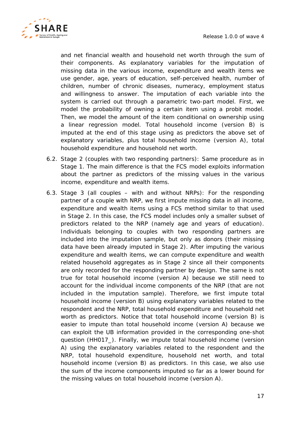

and net financial wealth and household net worth through the sum of their components. As explanatory variables for the imputation of missing data in the various income, expenditure and wealth items we use gender, age, years of education, self-perceived health, number of children, number of chronic diseases, numeracy, employment status and willingness to answer. The imputation of each variable into the system is carried out through a parametric two-part model. First, we model the probability of owning a certain item using a probit model. Then, we model the amount of the item conditional on ownership using a linear regression model. Total household income (version B) is imputed at the end of this stage using as predictors the above set of explanatory variables, plus total household income (version A), total household expenditure and household net worth.

- 6.2. Stage 2 (couples with two responding partners): Same procedure as in Stage 1. The main difference is that the FCS model exploits information about the partner as predictors of the missing values in the various income, expenditure and wealth items.
- 6.3. Stage 3 (all couples with and without NRPs): For the responding partner of a couple with NRP, we first impute missing data in all income, expenditure and wealth items using a FCS method similar to that used in Stage 2. In this case, the FCS model includes only a smaller subset of predictors related to the NRP (namely age and years of education). Individuals belonging to couples with two responding partners are included into the imputation sample, but only as donors (their missing data have been already imputed in Stage 2). After imputing the various expenditure and wealth items, we can compute expenditure and wealth related household aggregates as in Stage 2 since all their components are only recorded for the responding partner by design. The same is not true for total household income (version A) because we still need to account for the individual income components of the NRP (that are not included in the imputation sample). Therefore, we first impute total household income (version B) using explanatory variables related to the respondent and the NRP, total household expenditure and household net worth as predictors. Notice that total household income (version B) is easier to impute than total household income (version A) because we can exploit the UB information provided in the corresponding one-shot question (HH017\_). Finally, we impute total household income (version A) using the explanatory variables related to the respondent and the NRP, total household expenditure, household net worth, and total household income (version B) as predictors. In this case, we also use the sum of the income components imputed so far as a lower bound for the missing values on total household income (version A).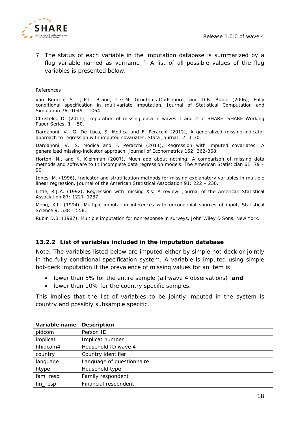

7. The status of each variable in the imputation database is summarized by a flag variable named as varname\_f. A list of all possible values of the flag variables is presented below.

#### *References*

van Buuren, S., J.P.L. Brand, C.G.M. Groothuis-Oudshoorn, and D.B. Rubin (2006), Fully conditional specification in multivariate imputation, *Journal of Statistical Computation and Simulation* 76: 1049 – 1064.

Christelis, D. (2011), Imputation of missing data in waves 1 and 2 of SHARE. *SHARE Working Paper Series*: 1 – 50.

Dardanoni, V., G. De Luca, S. Modica and F. Peracchi (2012), A generalized missing-indicator approach to regression with imputed covariates, *Stata Journal* 12: 1-30.

Dardanoni, V., S. Modica and F. Peracchi (2011), Regression with imputed covariates: A generalized missing-indicator approach, *Journal of Econometrics* 162: 362-368.

Horton, N., and K. Kleinman (2007), Much ado about nothing: A comparison of missing data methods and software to fit incomplete data regression models. *The American Statistician* 61: 79 – 90.

Jones, M. (1996), Indicator and stratification methods for missing explanatory variables in multiple linear regression. *Journal of the American Statistical Association* 91: 222 – 230.

Little, R.J.A. (1992), Regression with missing X's: A review. *Journal of the American Statistical Association* 87: 1227–1237.

Meng, X.L. (1994), Multiple-imputation inferences with uncongenial sources of input, *Statistical Science* 9: 538 – 558.

Rubin D.B. (1987), Multiple imputation for nonresponse in surveys, John Wiley & Sons, New York.

#### <span id="page-17-0"></span>**13.2.2 List of variables included in the imputation database**

Note: The variables listed below are imputed either by simple hot-deck or jointly in the fully conditional specification system. A variable is imputed using simple hot-deck imputation if the prevalence of missing values for an item is

- lower than 5% for the entire sample (all wave 4 observations) *and*
- lower than 10% for the country specific samples.

This implies that the list of variables to be jointly imputed in the system is country and possibly subsample specific.

| Variable name | <b>Description</b>        |
|---------------|---------------------------|
| pidcom        | Person ID                 |
| implicat      | Implicat number           |
| hhidcom4      | Household ID wave 4       |
| country       | Country identifier        |
| language      | Language of questionnaire |
| htype         | Household type            |
| fam_resp      | Family respondent         |
| fin_resp      | Financial respondent      |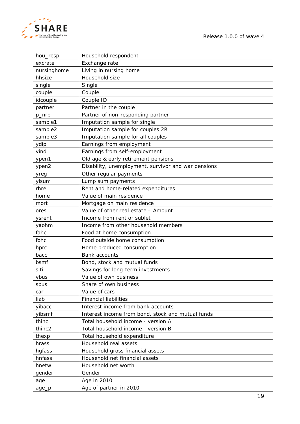

*Release 1.0.0 of wave 4*

| hou_resp    | Household respondent                                |
|-------------|-----------------------------------------------------|
| excrate     | Exchange rate                                       |
| nursinghome | Living in nursing home                              |
| hhsize      | Household size                                      |
| single      | Single                                              |
| couple      | Couple                                              |
| idcouple    | Couple ID                                           |
| partner     | Partner in the couple                               |
| p_nrp       | Partner of non-responding partner                   |
| sample1     | Imputation sample for single                        |
| sample2     | Imputation sample for couples 2R                    |
| sample3     | Imputation sample for all couples                   |
| ydip        | Earnings from employment                            |
| yind        | Earnings from self-employment                       |
| ypen1       | Old age & early retirement pensions                 |
| ypen2       | Disability, unemployment, survivor and war pensions |
| yreg        | Other regular payments                              |
| ylsum       | Lump sum payments                                   |
| rhre        | Rent and home-related expenditures                  |
| home        | Value of main residence                             |
| mort        | Mortgage on main residence                          |
| ores        | Value of other real estate - Amount                 |
| ysrent      | Income from rent or sublet                          |
| yaohm       | Income from other household members                 |
| fahc        | Food at home consumption                            |
| fohc        | Food outside home consumption                       |
| hprc        | Home produced consumption                           |
| bacc        | <b>Bank accounts</b>                                |
| bsmf        | Bond, stock and mutual funds                        |
| slti        | Savings for long-term investments                   |
| vbus        | Value of own business                               |
| sbus        | Share of own business                               |
| car         | Value of cars                                       |
| liab        | <b>Financial liabilities</b>                        |
| yibacc      | Interest income from bank accounts                  |
| yibsmf      | Interest income from bond, stock and mutual funds   |
| thinc       | Total household income - version A                  |
| thinc2      | Total household income - version B                  |
| thexp       | Total household expenditure                         |
| hrass       | Household real assets                               |
| hgfass      | Household gross financial assets                    |
| hnfass      | Household net financial assets                      |
| hnetw       | Household net worth                                 |
| gender      | Gender                                              |
| age         | Age in 2010                                         |
| age_p       | Age of partner in 2010                              |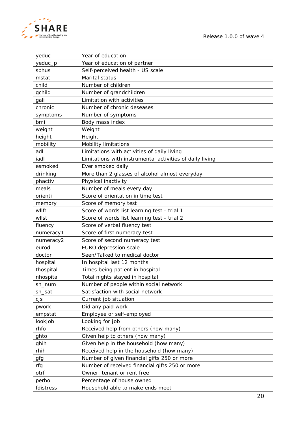

*Release 1.0.0 of wave 4*

| yeduc     | Year of education                                        |  |  |
|-----------|----------------------------------------------------------|--|--|
| yeduc_p   | Year of education of partner                             |  |  |
| sphus     | Self-perceived health - US scale                         |  |  |
| mstat     | Marital status                                           |  |  |
| child     | Number of children                                       |  |  |
| gchild    | Number of grandchildren                                  |  |  |
| gali      | Limitation with activities                               |  |  |
| chronic   | Number of chronic deseases                               |  |  |
| symptoms  | Number of symptoms                                       |  |  |
| bmi       | Body mass index                                          |  |  |
| weight    | Weight                                                   |  |  |
| height    | Height                                                   |  |  |
| mobility  | <b>Mobility limitations</b>                              |  |  |
| adl       | Limitations with activities of daily living              |  |  |
| iadl      | Limitations with instrumental activities of daily living |  |  |
| esmoked   | Ever smoked daily                                        |  |  |
| drinking  | More than 2 glasses of alcohol almost everyday           |  |  |
| phactiv   | Physical inactivity                                      |  |  |
| meals     | Number of meals every day                                |  |  |
| orienti   | Score of orientation in time test                        |  |  |
| memory    | Score of memory test                                     |  |  |
| wllft     | Score of words list learning test - trial 1              |  |  |
| wllst     | Score of words list learning test - trial 2              |  |  |
| fluency   | Score of verbal fluency test                             |  |  |
| numeracy1 | Score of first numeracy test                             |  |  |
| numeracy2 | Score of second numeracy test                            |  |  |
| eurod     | EURO depression scale                                    |  |  |
| doctor    | Seen/Talked to medical doctor                            |  |  |
| hospital  | In hospital last 12 months                               |  |  |
| thospital | Times being patient in hospital                          |  |  |
| nhospital | Total nights stayed in hospital                          |  |  |
| sn_num    | Number of people within social network                   |  |  |
| sn_sat    | Satisfaction with social network                         |  |  |
| cjs       | Current job situation                                    |  |  |
| pwork     | Did any paid work                                        |  |  |
| empstat   | Employee or self-employed                                |  |  |
| lookjob   | Looking for job                                          |  |  |
| rhfo      | Received help from others (how many)                     |  |  |
| ghto      | Given help to others (how many)                          |  |  |
| ghih      | Given help in the household (how many)                   |  |  |
| rhih      | Received help in the household (how many)                |  |  |
| gfg       | Number of given financial gifts 250 or more              |  |  |
| rfg       | Number of received financial gifts 250 or more           |  |  |
| otrf      | Owner, tenant or rent free                               |  |  |
| perho     | Percentage of house owned                                |  |  |
| fdistress | Household able to make ends meet                         |  |  |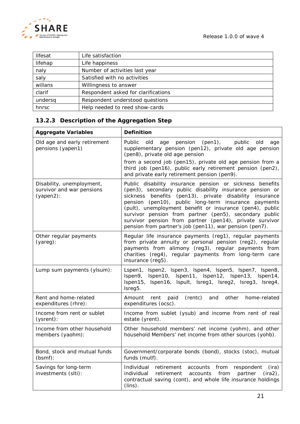

| lifesat | Life satisfaction                   |
|---------|-------------------------------------|
| lifehap | Life happiness                      |
| naly    | Number of activities last year      |
| saly    | Satisfied with no activities        |
| willans | Willingness to answer               |
| clarif  | Respondent asked for clarifications |
| undersq | Respondent understood questions     |
| hnrsc   | Help needed to reed show-cards      |

# <span id="page-20-0"></span>**13.2.3 Description of the Aggregation Step**

| <b>Aggregate Variables</b>                                             | <b>Definition</b>                                                                                                                                                                                                                                                                                                                                                                                                                                                                   |
|------------------------------------------------------------------------|-------------------------------------------------------------------------------------------------------------------------------------------------------------------------------------------------------------------------------------------------------------------------------------------------------------------------------------------------------------------------------------------------------------------------------------------------------------------------------------|
| Old age and early retirement<br>pensions (yapen1)                      | Public<br>$(pen1)$ ,<br>old<br>pension<br>public<br>old<br>age<br>age<br>supplementary pension (pen12), private old age pension<br>(pen8), private old age pension<br>from a second job (pen15), private old age pension from a                                                                                                                                                                                                                                                     |
|                                                                        | third job (pen16), public early retirement pension (pen2),<br>and private early retirement pension (pen9).                                                                                                                                                                                                                                                                                                                                                                          |
| Disability, unemployment,<br>survivor and war pensions<br>$(yapen2)$ : | Public disability insurance pension or sickness benefits<br>(pen3), secondary public disability insurance pension or<br>sickness benefits (pen13), private disability insurance<br>pension (pen10), public long-term insurance payments<br>(pult), unemployment benefit or insurance (pen4), public<br>survivor pension from partner (pen5), secondary public<br>survivor pension from partner (pen14), private survivor<br>pension from partner's job (pen11), war pension (pen7). |
| Other regular payments<br>(yareg):                                     | Regular life insurance payments (reg1), regular payments<br>from private annuity or personal pension (reg2), regular<br>payments from alimony (reg3), regular payments from<br>charities (reg4), regular payments from long-term care<br>insurance (reg5).                                                                                                                                                                                                                          |
| Lump sum payments (ylsum):                                             | Lspen1, Ispen2, Ispen3, Ispen4, Ispen5, Ispen7, Ispen8,<br>Ispen9, Ispen10, Ispen11, Ispen12, Ispen13, Ispen14,<br>Ispen15, Ispen16, Ispult, Isreg1, Isreg2, Isreg3, Isreg4,<br>Isreg5.                                                                                                                                                                                                                                                                                             |
| Rent and home-related<br>expenditures (rhre):                          | (rentc)<br>Amount<br>paid<br>and<br>other<br>home-related<br>rent<br>expenditures (ocsc).                                                                                                                                                                                                                                                                                                                                                                                           |
| Income from rent or sublet<br>(ysrent):                                | Income from sublet (ysub) and income from rent of real<br>estate (yrent).                                                                                                                                                                                                                                                                                                                                                                                                           |
| Income from other household<br>members (yaohm):                        | Other household members' net income (yohm), and other<br>household Members' net income from other sources (yohb).                                                                                                                                                                                                                                                                                                                                                                   |
| Bond, stock and mutual funds<br>(bsmf):                                | Government/corporate bonds (bond), stocks (stoc), mutual<br>funds (mutf).                                                                                                                                                                                                                                                                                                                                                                                                           |
| Savings for long-term<br>investments (slti):                           | Individual<br>retirement accounts from respondent<br>(ira)<br>from<br>$(ira2)$ ,<br>individual<br>retirement<br>accounts<br>partner<br>contractual saving (cont), and whole life insurance holdings<br>$(lins)$ .                                                                                                                                                                                                                                                                   |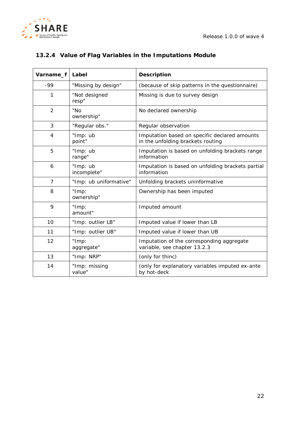

# <span id="page-21-0"></span>**13.2.4 Value of Flag Variables in the Imputations Module**

| Varname_f      | Label                   | <b>Description</b>                                                                 |
|----------------|-------------------------|------------------------------------------------------------------------------------|
| -99            | "Missing by design"     | (because of skip patterns in the questionnaire)                                    |
| 1              | "Not designed<br>resp"  | Missing is due to survey design                                                    |
| $\overline{2}$ | "No<br>ownership"       | No declared ownership                                                              |
| 3              | "Regular obs."          | Regular observation                                                                |
| 4              | "Imp: ub<br>point"      | Imputation based on specific declared amounts<br>in the unfolding brackets routing |
| 5              | "Imp: ub<br>range"      | Imputation is based on unfolding brackets range<br>information                     |
| 6              | "Imp: ub<br>incomplete" | Imputation is based on unfolding brackets partial<br>information                   |
| $\overline{7}$ | "Imp: ub uniformative"  | Unfolding brackets uninformative                                                   |
| 8              | "Imp:<br>ownership"     | Ownership has been imputed                                                         |
| 9              | "Imp:<br>amount"        | Imputed amount                                                                     |
| 10             | "Imp: outlier LB"       | Imputed value if lower than LB                                                     |
| 11             | "Imp: outlier UB"       | Imputed value if lower than UB                                                     |
| 12             | "Imp:<br>aggregate"     | Imputation of the corresponding aggregate<br>variable, see chapter 13.2.3          |
| 13             | "Imp: NRP"              | (only for thinc)                                                                   |
| 14             | "Imp: missing<br>value" | (only for explanatory variables imputed ex-ante<br>by hot-deck                     |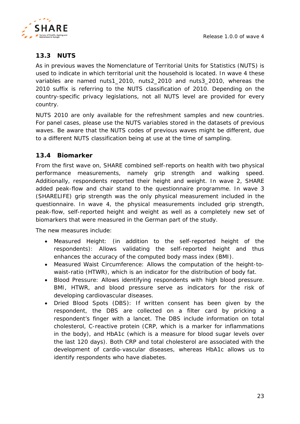

# <span id="page-22-0"></span>**13.3 NUTS**

As in previous waves the Nomenclature of Territorial Units for Statistics (NUTS) is used to indicate in which territorial unit the household is located. In wave 4 these variables are named *nuts1\_2010*, *nuts2\_2010* and *nuts3\_2010*, whereas the *2010* suffix is referring to the NUTS classification of 2010. Depending on the country-specific privacy legislations, not all NUTS level are provided for every country.

NUTS 2010 are only available for the refreshment samples and new countries. For panel cases, please use the NUTS variables stored in the datasets of previous waves. Be aware that the NUTS codes of previous waves might be different, due to a different NUTS classification being at use at the time of sampling.

# <span id="page-22-1"></span>**13.4 Biomarker**

From the first wave on, SHARE combined self-reports on health with two physical performance measurements, namely grip strength and walking speed. Additionally, respondents reported their height and weight. In wave 2, SHARE added peak-flow and chair stand to the questionnaire programme. In wave 3 (SHARELIFE) grip strength was the only physical measurement included in the questionnaire. In wave 4, the physical measurements included grip strength, peak-flow, self-reported height and weight as well as a completely *new set of biomarkers that were measured in the German part of the study*.

The new measures include:

- *Measured Height:* (in addition to the self-reported height of the respondents): Allows validating the self-reported height and thus enhances the accuracy of the computed body mass index (BMI).
- Measured Waist Circumference: Allows the computation of the height-towaist-ratio (HTWR), which is an indicator for the distribution of body fat.
- *Blood Pressure*: Allows identifying respondents with high blood pressure. BMI, HTWR, and blood pressure serve as indicators for the risk of developing cardiovascular diseases.
- *Dried Blood Spots (DBS)*: If written consent has been given by the respondent, the DBS are collected on a filter card by pricking a respondent's finger with a lancet. The DBS include information on total cholesterol, C-reactive protein (CRP, which is a marker for inflammations in the body), and HbA1c (which is a measure for blood sugar levels over the last 120 days). Both CRP and total cholesterol are associated with the development of cardio-vascular diseases, whereas HbA1c allows us to identify respondents who have diabetes.